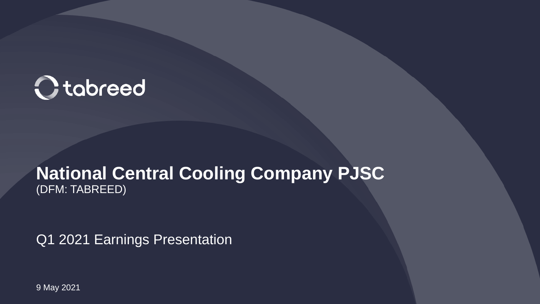

#### **National Central Cooling Company PJSC** (DFM: TABREED)

Q1 2021 Earnings Presentation

9 May 2021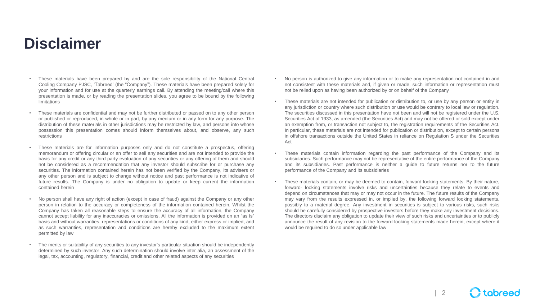#### **Disclaimer**

- These materials have been prepared by and are the sole responsibility of the National Central Cooling Company PJSC, 'Tabreed' (the "Company"). These materials have been prepared solely for your information and for use at the quarterly earnings call. By attending the meeting/call where this presentation is made, or by reading the presentation slides, you agree to be bound by the following limitations
- These materials are confidential and may not be further distributed or passed on to any other person or published or reproduced, in whole or in part, by any medium or in any form for any purpose. The distribution of these materials in other jurisdictions may be restricted by law, and persons into whose possession this presentation comes should inform themselves about, and observe, any such restrictions
- These materials are for information purposes only and do not constitute a prospectus, offering memorandum or offering circular or an offer to sell any securities and are not intended to provide the basis for any credit or any third party evaluation of any securities or any offering of them and should not be considered as a recommendation that any investor should subscribe for or purchase any securities. The information contained herein has not been verified by the Company, its advisers or any other person and is subject to change without notice and past performance is not indicative of future results. The Company is under no obligation to update or keep current the information contained herein
- No person shall have any right of action (except in case of fraud) against the Company or any other person in relation to the accuracy or completeness of the information contained herein. Whilst the Company has taken all reasonable steps to ensure the accuracy of all information, the Company cannot accept liability for any inaccuracies or omissions. All the information is provided on an "as is" basis and without warranties, representations or conditions of any kind, either express or implied, and as such warranties, representation and conditions are hereby excluded to the maximum extent permitted by law
- The merits or suitability of any securities to any investor's particular situation should be independently determined by such investor. Any such determination should involve inter alia, an assessment of the legal, tax, accounting, regulatory, financial, credit and other related aspects of any securities
- No person is authorized to give any information or to make any representation not contained in and not consistent with these materials and, if given or made, such information or representation must not be relied upon as having been authorized by or on behalf of the Company
- These materials are not intended for publication or distribution to, or use by any person or entity in any jurisdiction or country where such distribution or use would be contrary to local law or regulation. The securities discussed in this presentation have not been and will not be registered under the U.S. Securities Act of 1933, as amended (the Securities Act) and may not be offered or sold except under an exemption from, or transaction not subject to, the registration requirements of the Securities Act. In particular, these materials are not intended for publication or distribution, except to certain persons in offshore transactions outside the United States in reliance on Regulation S under the Securities Act
- These materials contain information regarding the past performance of the Company and its subsidiaries. Such performance may not be representative of the entire performance of the Company and its subsidiaries. Past performance is neither a guide to future returns nor to the future performance of the Company and its subsidiaries
- These materials contain, or may be deemed to contain, forward-looking statements. By their nature, forward- looking statements involve risks and uncertainties because they relate to events and depend on circumstances that may or may not occur in the future. The future results of the Company may vary from the results expressed in, or implied by, the following forward looking statements, possibly to a material degree. Any investment in securities is subject to various risks, such risks should be carefully considered by prospective investors before they make any investment decisions. The directors disclaim any obligation to update their view of such risks and uncertainties or to publicly announce the result of any revision to the forward-looking statements made herein, except where it would be required to do so under applicable law

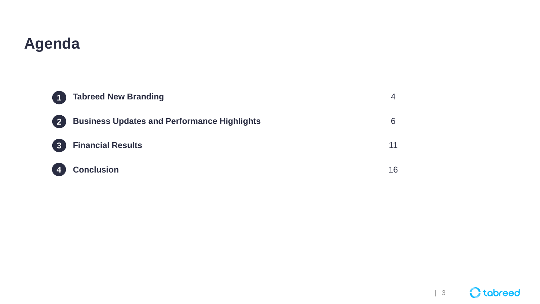### **Agenda**

|                | <b>Tabreed New Branding</b>                        |    |
|----------------|----------------------------------------------------|----|
| $\blacksquare$ | <b>Business Updates and Performance Highlights</b> | 6  |
| $\sqrt{3}$     | <b>Financial Results</b>                           | 11 |
| 4              | <b>Conclusion</b>                                  | 16 |

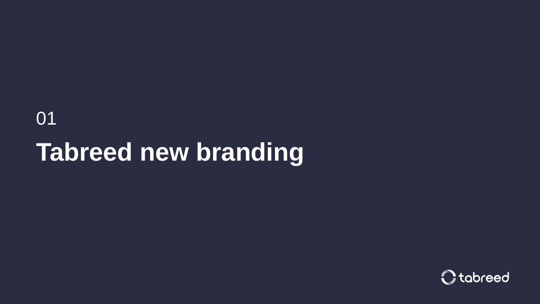# 01 **Tabreed new branding**

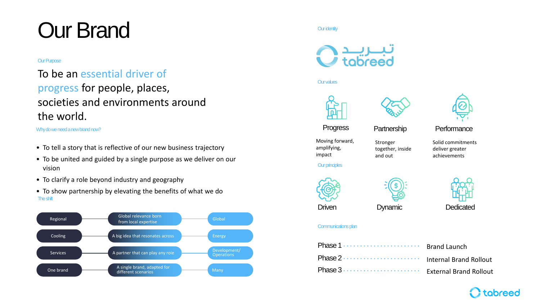# Our Brand and the current of the current of  $\alpha$  identity

#### **Our Purpose**

#### To be an essential driver of progress for people, places, societies and environments around the world.

Why do we need a new brand now?

- To tell a story that is reflective of our new business trajectory
- To be united and guided by a single purpose as we deliver on our vision
- To clarify a role beyond industry and geography
- To show partnership by elevating the benefits of what we do The shift





Our values







Progress Partnership Performance

Solid commitments deliver greater achievements

Moving forward, amplifying, impact

Stronger together, inside and out



**Our principles** 

Driven Dynamic Dedicated

#### Communications plan

| Phase 1  Brand Launch |  |
|-----------------------|--|
|                       |  |
|                       |  |

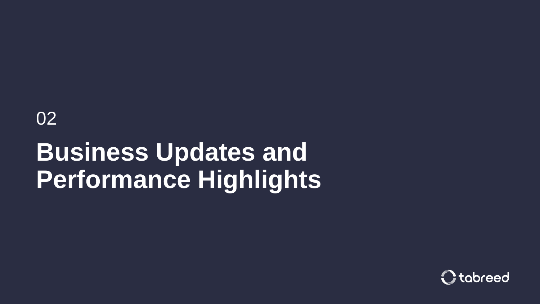02

# **Business Updates and Performance Highlights**

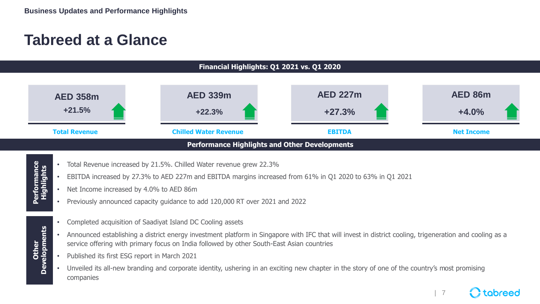### **Tabreed at a Glance**



- Total Revenue increased by 21.5%. Chilled Water revenue grew 22.3%
- EBITDA increased by 27.3% to AED 227m and EBITDA margins increased from 61% in Q1 2020 to 63% in Q1 2021
- Net Income increased by 4.0% to AED 86m
- Previously announced capacity guidance to add 120,000 RT over 2021 and 2022
- Completed acquisition of Saadiyat Island DC Cooling assets
- Announced establishing a district energy investment platform in Singapore with IFC that will invest in district cooling, trigeneration and cooling as a service offering with primary focus on India followed by other South-East Asian countries

| 7

tobreed

• Published its first ESG report in March 2021

**Other**<br>Developments **Developments**

• Unveiled its all-new branding and corporate identity, ushering in an exciting new chapter in the story of one of the country's most promising companies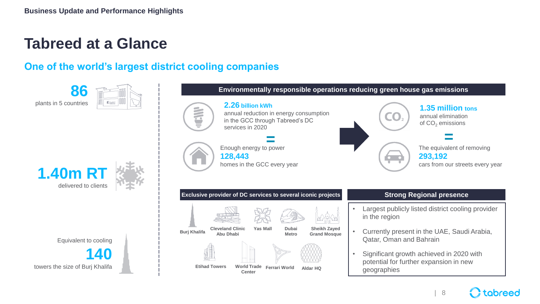### **Tabreed at a Glance**

**86**

plants in 5 countries

#### **One of the world's largest district cooling companies**



Equivalent to cooling

**140** towers the size of Burj Khalifa



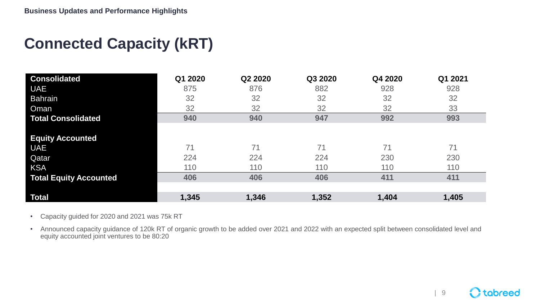## **Connected Capacity (kRT)**

| <b>Consolidated</b>           | Q1 2020 | Q2 2020 | Q3 2020 | Q4 2020 | Q1 2021 |
|-------------------------------|---------|---------|---------|---------|---------|
| <b>UAE</b>                    | 875     | 876     | 882     | 928     | 928     |
| <b>Bahrain</b>                | 32      | 32      | 32      | 32      | 32      |
| Oman                          | 32      | 32      | 32      | 32      | 33      |
| <b>Total Consolidated</b>     | 940     | 940     | 947     | 992     | 993     |
|                               |         |         |         |         |         |
| <b>Equity Accounted</b>       |         |         |         |         |         |
| <b>UAE</b>                    | 71      | 71      | 71      | 71      | 71      |
| Qatar                         | 224     | 224     | 224     | 230     | 230     |
| <b>KSA</b>                    | 110     | 110     | 110     | 110     | 110     |
| <b>Total Equity Accounted</b> | 406     | 406     | 406     | 411     | 411     |
|                               |         |         |         |         |         |
| Total                         | 1,345   | 1,346   | 1,352   | 1,404   | 1,405   |

• Capacity guided for 2020 and 2021 was 75k RT

• Announced capacity guidance of 120k RT of organic growth to be added over 2021 and 2022 with an expected split between consolidated level and equity accounted joint ventures to be 80:20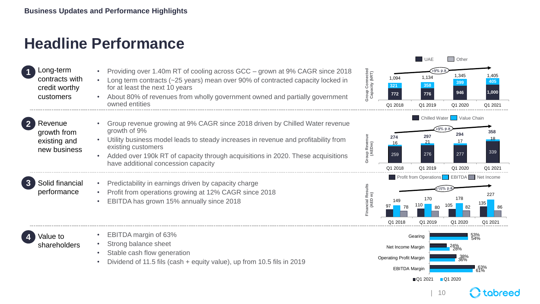### **Headline Performance**

| Long-term      |
|----------------|
| contracts with |
| credit worthy  |
| customers      |
|                |

Revenue growth from existing and new business

**2**

- Providing over 1.40m RT of cooling across GCC grown at 9% CAGR since 2018
- Long term contracts (~25 years) mean over 90% of contracted capacity locked in for at least the next 10 years
- About 80% of revenues from wholly government owned and partially government owned entities
- Group revenue growing at 9% CAGR since 2018 driven by Chilled Water revenue growth of 9%
	- Utility business model leads to steady increases in revenue and profitability from existing customers
	- Added over 190k RT of capacity through acquisitions in 2020. These acquisitions have additional concession capacity
- Solid financial performance **3**
- Predictability in earnings driven by capacity charge
- Profit from operations growing at 12% CAGR since 2018
- EBITDA has grown 15% annually since 2018

Value to shareholders **4**

- EBITDA margin of 63%
- Strong balance sheet
- Stable cash flow generation
- Dividend of 11.5 fils (cash + equity value), up from 10.5 fils in 2019





**Group Revenue** 

**Group Connected** 





| 10

tabreec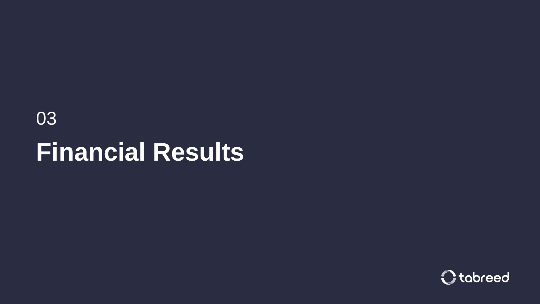# 03 **Financial Results**

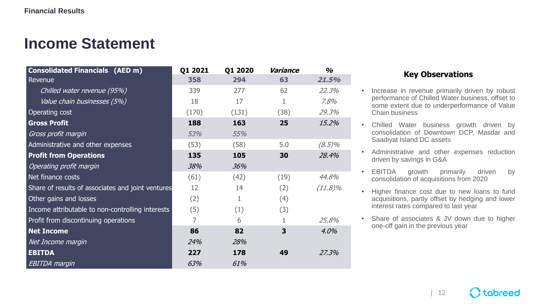### **Income Statement**

| <b>Consolidated Financials (AED m)</b>            | Q1 2021 | Q1 2020 | Variance | $\%$       |
|---------------------------------------------------|---------|---------|----------|------------|
| Revenue                                           | 358     | 294     | 63       | 21.5%      |
| Chilled water revenue (95%)                       | 339     | 277     | 62       | 22.3%      |
| Value chain businesses (5%)                       | 18      | 17      |          | 7.8%       |
| Operating cost                                    | (170)   | (131)   | (38)     | 29.3%      |
| <b>Gross Profit</b>                               | 188     | 163     | 25       | 15.2%      |
| Gross profit margin                               | 53%     | 55%     |          |            |
| Administrative and other expenses                 | (53)    | (58)    | 5.0      | $(8.5)\%$  |
| <b>Profit from Operations</b>                     | 135     | 105     | 30       | 28.4%      |
| Operating profit margin                           | 38%     | 36%     |          |            |
| Net finance costs                                 | (61)    | (42)    | (19)     | 44.8%      |
| Share of results of associates and joint ventures | 12      | 14      | (2)      | $(11.8)\%$ |
| Other gains and losses                            | (2)     |         | (4)      |            |
| Income attributable to non-controlling interests  | (5)     | (1)     | (3)      |            |
| Profit from discontinuing operations              | 7       | 6       | 1        | 25.8%      |
| <b>Net Income</b>                                 | 86      | 82      | 3        | 4.0%       |
| Net Income margin                                 | 24%     | 28%     |          |            |
| <b>EBITDA</b>                                     | 227     | 178     | 49       | 27.3%      |
| <b>EBITDA</b> margin                              | 63%     | 61%     |          |            |

#### **Key Observations**

- Increase in revenue primarily driven by robust performance of Chilled Water business, offset to some extent due to underperformance of Value Chain business
- Chilled Water business growth driven by consolidation of Downtown DCP, Masdar and Saadiyat Island DC assets
- Administrative and other expenses reduction driven by savings in G&A
- EBITDA growth primarily driven by consolidation of acquisitions from 2020
- Higher finance cost due to new loans to fund acquisitions, partly offset by hedging and lower interest rates compared to last year
- Share of associates & JV down due to higher one-off gain in the previous year

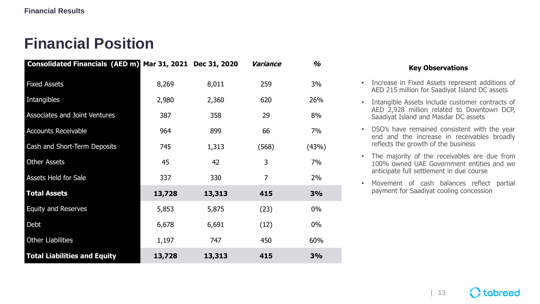## **Financial Position**

| <b>Consolidated Financials (AED m)</b> |        | Mar 31, 2021 Dec 31, 2020 | Variance       | $\frac{a}{2}$ |
|----------------------------------------|--------|---------------------------|----------------|---------------|
| <b>Fixed Assets</b>                    | 8,269  | 8,011                     | 259            | 3%            |
| Intangibles                            | 2,980  | 2,360                     | 620            | 26%           |
| Associates and Joint Ventures          | 387    | 358                       | 29             | 8%            |
| <b>Accounts Receivable</b>             | 964    | 899                       | 66             | 7%            |
| Cash and Short-Term Deposits           | 745    | 1,313                     | (568)          | (43%)         |
| <b>Other Assets</b>                    | 45     | 42                        | 3              | 7%            |
| Assets Held for Sale                   | 337    | 330                       | $\overline{7}$ | 2%            |
| <b>Total Assets</b>                    | 13,728 | 13,313                    | 415            | 3%            |
| <b>Equity and Reserves</b>             | 5,853  | 5,875                     | (23)           | $0\%$         |
| Debt                                   | 6,678  | 6,691                     | (12)           | $0\%$         |
| <b>Other Liabilities</b>               | 1,197  | 747                       | 450            | 60%           |
| <b>Total Liabilities and Equity</b>    | 13,728 | 13,313                    | 415            | 3%            |

#### **Key Observations**

- Increase in Fixed Assets represent additions of AED 215 million for Saadiyat Island DC assets
- Intangible Assets include customer contracts of AED 2,928 million related to Downtown DCP, Saadiyat Island and Masdar DC assets
- DSO's have remained consistent with the year end and the increase in receivables broadly reflects the growth of the business
- The majority of the receivables are due from 100% owned UAE Government entities and we anticipate full settlement in due course
- Movement of cash balances reflect partial payment for Saadiyat cooling concession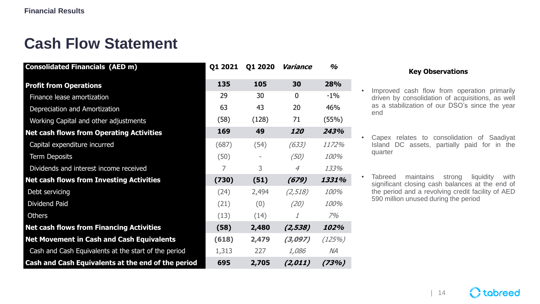### **Cash Flow Statement**

| <b>Consolidated Financials (AED m)</b>               | Q1 2021 | Q1 2020 | Variance       | $\frac{a}{2}$ |
|------------------------------------------------------|---------|---------|----------------|---------------|
| <b>Profit from Operations</b>                        | 135     | 105     | 30             | 28%           |
| Finance lease amortization                           | 29      | 30      | $\mathbf{0}$   | $-1\%$        |
| Depreciation and Amortization                        | 63      | 43      | 20             | 46%           |
| Working Capital and other adjustments                | (58)    | (128)   | 71             | (55%)         |
| <b>Net cash flows from Operating Activities</b>      | 169     | 49      | 120            | 243%          |
| Capital expenditure incurred                         | (687)   | (54)    | (633)          | 1172%         |
| <b>Term Deposits</b>                                 | (50)    |         | (50)           | 100%          |
| Dividends and interest income received               | 7       | 3       | $\overline{4}$ | 133%          |
| <b>Net cash flows from Investing Activities</b>      | (730)   | (51)    | (679)          | 1331%         |
| Debt servicing                                       | (24)    | 2,494   | (2, 518)       | 100%          |
| <b>Dividend Paid</b>                                 | (21)    | (0)     | (20)           | 100%          |
| <b>Others</b>                                        | (13)    | (14)    | 1              | 7%            |
| <b>Net cash flows from Financing Activities</b>      | (58)    | 2,480   | (2, 538)       | 102%          |
| <b>Net Movement in Cash and Cash Equivalents</b>     | (618)   | 2,479   | (3,097)        | (125%)        |
| Cash and Cash Equivalents at the start of the period | 1,313   | 227     | <i>1,086</i>   | $N\!A$        |
| Cash and Cash Equivalents at the end of the period   | 695     | 2,705   | (2,011)        | (73%)         |

#### **Key Observations**

- Improved cash flow from operation primarily driven by consolidation of acquisitions, as well as a stabilization of our DSO's since the year end
- Capex relates to consolidation of Saadiyat Island DC assets, partially paid for in the quarter
- Tabreed maintains strong liquidity with significant closing cash balances at the end of the period and a revolving credit facility of AED 590 million unused during the period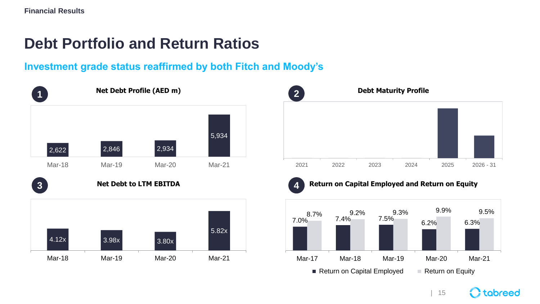### **Debt Portfolio and Return Ratios**

#### **Investment grade status reaffirmed by both Fitch and Moody's**







#### **A.** Return on Capital Employed and Return on Equity



| 15

 $\Omega$  tabreed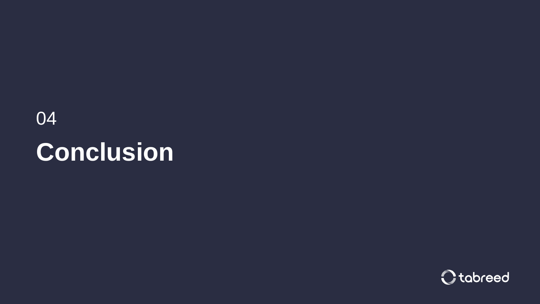# 04 **Conclusion**

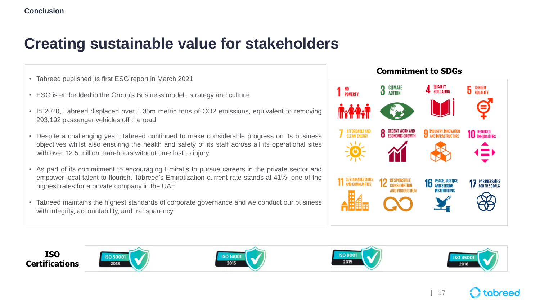### **Creating sustainable value for stakeholders**

- Tabreed published its first ESG report in March 2021
- ESG is embedded in the Group's Business model , strategy and culture
- In 2020, Tabreed displaced over 1.35m metric tons of CO2 emissions, equivalent to removing 293,192 passenger vehicles off the road
- Despite a challenging year, Tabreed continued to make considerable progress on its business objectives whilst also ensuring the health and safety of its staff across all its operational sites with over 12.5 million man-hours without time lost to injury
- As part of its commitment to encouraging Emiratis to pursue careers in the private sector and empower local talent to flourish, Tabreed's Emiratization current rate stands at 41%, one of the highest rates for a private company in the UAE
- Tabreed maintains the highest standards of corporate governance and we conduct our business with integrity, accountability, and transparency





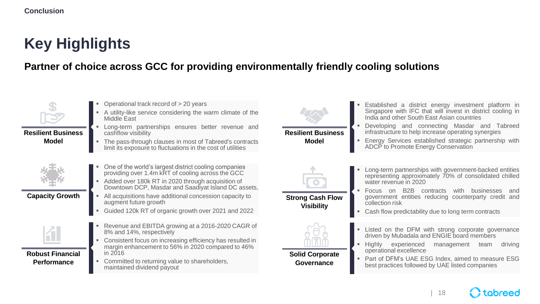## **Key Highlights**

#### **Partner of choice across GCC for providing environmentally friendly cooling solutions**



**Resilient Business Model**

- Operational track record of  $> 20$  years
- A utility-like service considering the warm climate of the Middle East
- **EXECT** Determ partnerships ensures better revenue and cashflow visibility
- The pass-through clauses in most of Tabreed's contracts limit its exposure to fluctuations in the cost of utilities



**Capacity Growth**

- One of the world's largest district cooling companies providing over 1.4m kRT of cooling across the GCC
- Added over 180k RT in 2020 through acquisition of Downtown DCP, Masdar and Saadiyat Island DC assets,
- All acquisitions have additional concession capacity to augment future growth
- Guided 120k RT of organic growth over 2021 and 2022



- **Robust Financial Performance**
- Revenue and EBITDA growing at a 2016-2020 CAGR of 8% and 14%, respectively
- Consistent focus on increasing efficiency has resulted in margin enhancement to 56% in 2020 compared to 46%  $in$  2016
- Committed to returning value to shareholders, maintained dividend payout



**Resilient Business Model**

- Established a district energy investment platform in Singapore with IFC that will invest in district cooling in India and other South East Asian countries
- Developing and connecting Masdar and Tabreed infrastructure to help increase operating synergies
- Energy Services established strategic partnership with ADCP to Promote Energy Conservation



**Visibility**

**Solid Corporate Governance**

- Long-term partnerships with government-backed entities representing approximately 70% of consolidated chilled water revenue in 2020
- Focus on B2B contracts with businesses and government entities reducing counterparty credit and collection risk
- Cash flow predictability due to long term contracts
- Listed on the DFM with strong corporate governance driven by Mubadala and ENGIE board members
- Highly experienced management team driving operational excellence
- Part of DFM's UAE ESG Index, aimed to measure ESG best practices followed by UAE listed companies